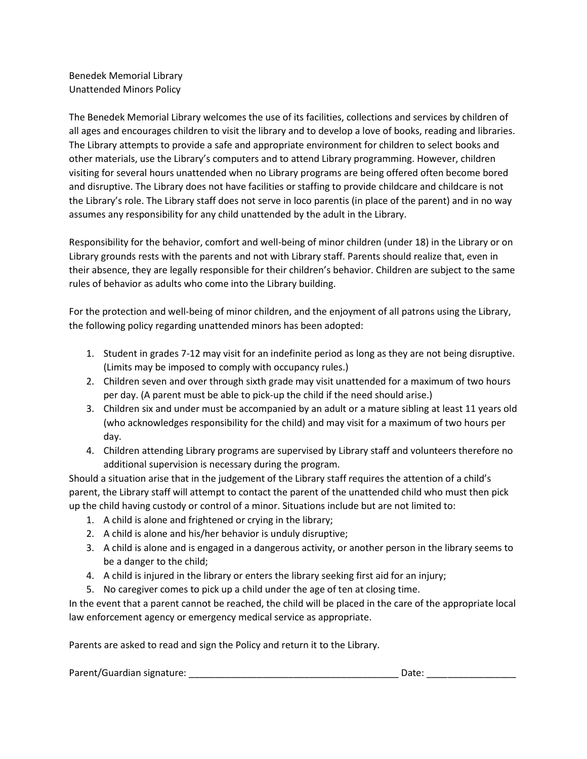Benedek Memorial Library Unattended Minors Policy

The Benedek Memorial Library welcomes the use of its facilities, collections and services by children of all ages and encourages children to visit the library and to develop a love of books, reading and libraries. The Library attempts to provide a safe and appropriate environment for children to select books and other materials, use the Library's computers and to attend Library programming. However, children visiting for several hours unattended when no Library programs are being offered often become bored and disruptive. The Library does not have facilities or staffing to provide childcare and childcare is not the Library's role. The Library staff does not serve in loco parentis (in place of the parent) and in no way assumes any responsibility for any child unattended by the adult in the Library.

Responsibility for the behavior, comfort and well-being of minor children (under 18) in the Library or on Library grounds rests with the parents and not with Library staff. Parents should realize that, even in their absence, they are legally responsible for their children's behavior. Children are subject to the same rules of behavior as adults who come into the Library building.

For the protection and well-being of minor children, and the enjoyment of all patrons using the Library, the following policy regarding unattended minors has been adopted:

- 1. Student in grades 7-12 may visit for an indefinite period as long as they are not being disruptive. (Limits may be imposed to comply with occupancy rules.)
- 2. Children seven and over through sixth grade may visit unattended for a maximum of two hours per day. (A parent must be able to pick-up the child if the need should arise.)
- 3. Children six and under must be accompanied by an adult or a mature sibling at least 11 years old (who acknowledges responsibility for the child) and may visit for a maximum of two hours per day.
- 4. Children attending Library programs are supervised by Library staff and volunteers therefore no additional supervision is necessary during the program.

Should a situation arise that in the judgement of the Library staff requires the attention of a child's parent, the Library staff will attempt to contact the parent of the unattended child who must then pick up the child having custody or control of a minor. Situations include but are not limited to:

- 1. A child is alone and frightened or crying in the library;
- 2. A child is alone and his/her behavior is unduly disruptive;
- 3. A child is alone and is engaged in a dangerous activity, or another person in the library seems to be a danger to the child;
- 4. A child is injured in the library or enters the library seeking first aid for an injury;
- 5. No caregiver comes to pick up a child under the age of ten at closing time.

In the event that a parent cannot be reached, the child will be placed in the care of the appropriate local law enforcement agency or emergency medical service as appropriate.

Parents are asked to read and sign the Policy and return it to the Library.

| Parent/Guardian signature: | Date. |  |
|----------------------------|-------|--|
|----------------------------|-------|--|